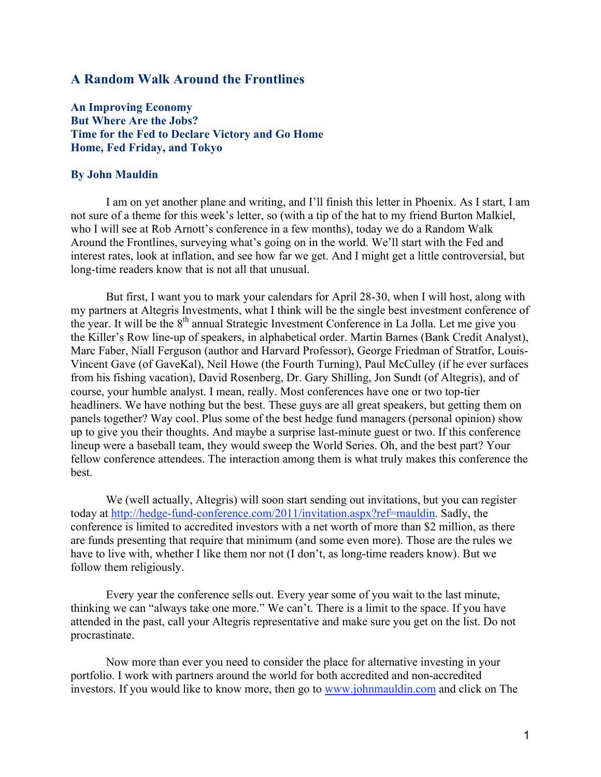# A Random Walk Around the Frontlines

An Improving Economy But Where Are the Jobs? Time for the Fed to Declare Victory and Go Home Home, Fed Friday, and Tokyo

## By John Mauldin

I am on yet another plane and writing, and I'll finish this letter in Phoenix. As I start, I am not sure of a theme for this week's letter, so (with a tip of the hat to my friend Burton Malkiel, who I will see at Rob Arnott's conference in a few months), today we do a Random Walk Around the Frontlines, surveying what's going on in the world. We'll start with the Fed and interest rates, look at inflation, and see how far we get. And I might get a little controversial, but long-time readers know that is not all that unusual.

But first, I want you to mark your calendars for April 28-30, when I will host, along with my partners at Altegris Investments, what I think will be the single best investment conference of the year. It will be the 8<sup>th</sup> annual Strategic Investment Conference in La Jolla. Let me give you the Killer's Row line-up of speakers, in alphabetical order. Martin Barnes (Bank Credit Analyst), Marc Faber, Niall Ferguson (author and Harvard Professor), George Friedman of Stratfor, Louis-Vincent Gave (of GaveKal), Neil Howe (the Fourth Turning), Paul McCulley (if he ever surfaces from his fishing vacation), David Rosenberg, Dr. Gary Shilling, Jon Sundt (of Altegris), and of course, your humble analyst. I mean, really. Most conferences have one or two top-tier headliners. We have nothing but the best. These guys are all great speakers, but getting them on panels together? Way cool. Plus some of the best hedge fund managers (personal opinion) show up to give you their thoughts. And maybe a surprise last-minute guest or two. If this conference lineup were a baseball team, they would sweep the World Series. Oh, and the best part? Your fellow conference attendees. The interaction among them is what truly makes this conference the best.

We (well actually, Altegris) will soon start sending out invitations, but you can register today at http://hedge-fund-conference.com/2011/invitation.aspx?ref=mauldin. Sadly, the conference is limited to accredited investors with a net worth of more than \$2 million, as there are funds presenting that require that minimum (and some even more). Those are the rules we have to live with, whether I like them nor not (I don't, as long-time readers know). But we follow them religiously.

Every year the conference sells out. Every year some of you wait to the last minute, thinking we can "always take one more." We can't. There is a limit to the space. If you have attended in the past, call your Altegris representative and make sure you get on the list. Do not procrastinate.

Now more than ever you need to consider the place for alternative investing in your portfolio. I work with partners around the world for both accredited and non-accredited investors. If you would like to know more, then go to www.johnmauldin.com and click on The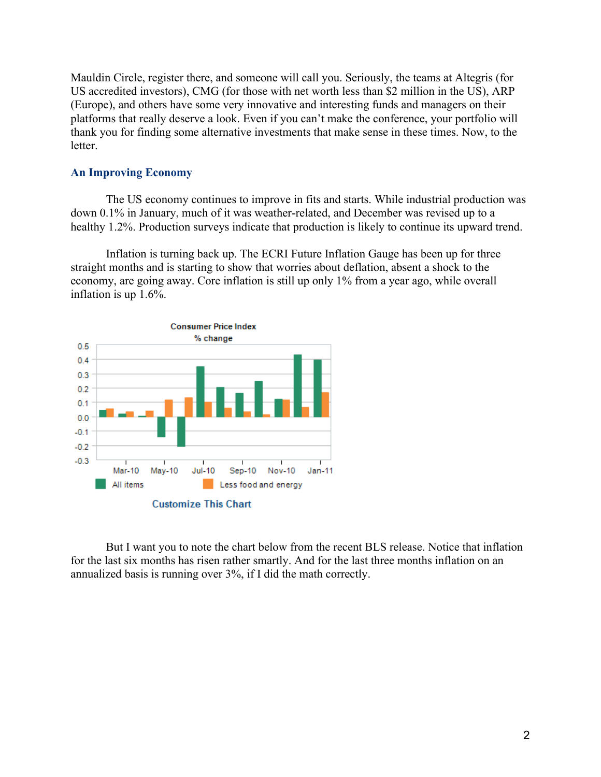Mauldin Circle, register there, and someone will call you. Seriously, the teams at Altegris (for US accredited investors), CMG (for those with net worth less than \$2 million in the US), ARP (Europe), and others have some very innovative and interesting funds and managers on their platforms that really deserve a look. Even if you can't make the conference, your portfolio will thank you for finding some alternative investments that make sense in these times. Now, to the letter.

## An Improving Economy

The US economy continues to improve in fits and starts. While industrial production was down 0.1% in January, much of it was weather-related, and December was revised up to a healthy 1.2%. Production surveys indicate that production is likely to continue its upward trend.

Inflation is turning back up. The ECRI Future Inflation Gauge has been up for three straight months and is starting to show that worries about deflation, absent a shock to the economy, are going away. Core inflation is still up only 1% from a year ago, while overall inflation is up 1.6%.



But I want you to note the chart below from the recent BLS release. Notice that inflation for the last six months has risen rather smartly. And for the last three months inflation on an annualized basis is running over 3%, if I did the math correctly.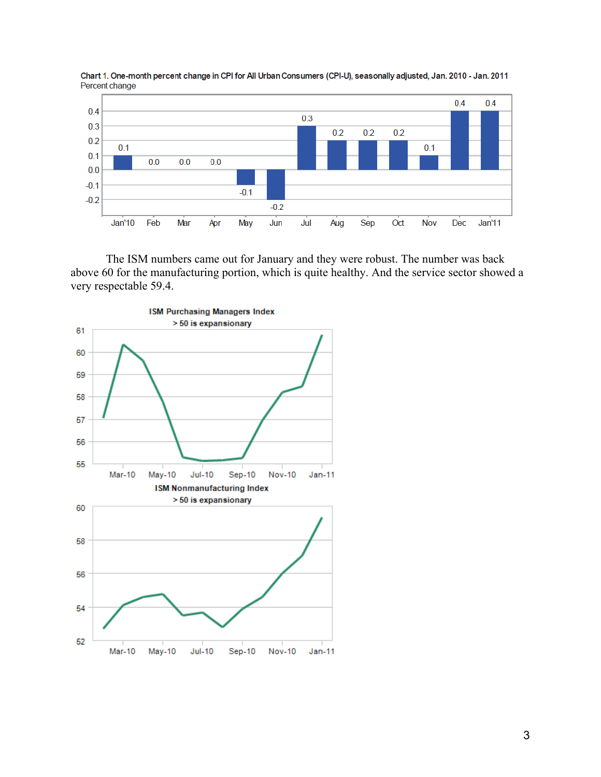

Chart 1. One-month percent change in CPI for All Urban Consumers (CPI-U), seasonally adjusted, Jan. 2010 - Jan. 2011 Percent change

The ISM numbers came out for January and they were robust. The number was back above 60 for the manufacturing portion, which is quite healthy. And the service sector showed a very respectable 59.4.

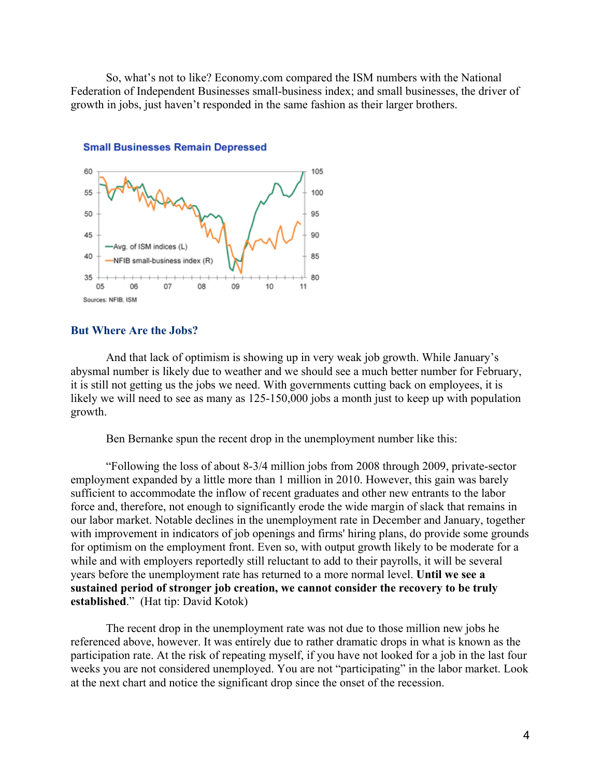So, what's not to like? Economy.com compared the ISM numbers with the National Federation of Independent Businesses small-business index; and small businesses, the driver of growth in jobs, just haven't responded in the same fashion as their larger brothers.



#### **Small Businesses Remain Depressed**

#### But Where Are the Jobs?

And that lack of optimism is showing up in very weak job growth. While January's abysmal number is likely due to weather and we should see a much better number for February, it is still not getting us the jobs we need. With governments cutting back on employees, it is likely we will need to see as many as 125-150,000 jobs a month just to keep up with population growth.

Ben Bernanke spun the recent drop in the unemployment number like this:

"Following the loss of about 8-3/4 million jobs from 2008 through 2009, private-sector employment expanded by a little more than 1 million in 2010. However, this gain was barely sufficient to accommodate the inflow of recent graduates and other new entrants to the labor force and, therefore, not enough to significantly erode the wide margin of slack that remains in our labor market. Notable declines in the unemployment rate in December and January, together with improvement in indicators of job openings and firms' hiring plans, do provide some grounds for optimism on the employment front. Even so, with output growth likely to be moderate for a while and with employers reportedly still reluctant to add to their payrolls, it will be several years before the unemployment rate has returned to a more normal level. Until we see a sustained period of stronger job creation, we cannot consider the recovery to be truly established." (Hat tip: David Kotok)

The recent drop in the unemployment rate was not due to those million new jobs he referenced above, however. It was entirely due to rather dramatic drops in what is known as the participation rate. At the risk of repeating myself, if you have not looked for a job in the last four weeks you are not considered unemployed. You are not "participating" in the labor market. Look at the next chart and notice the significant drop since the onset of the recession.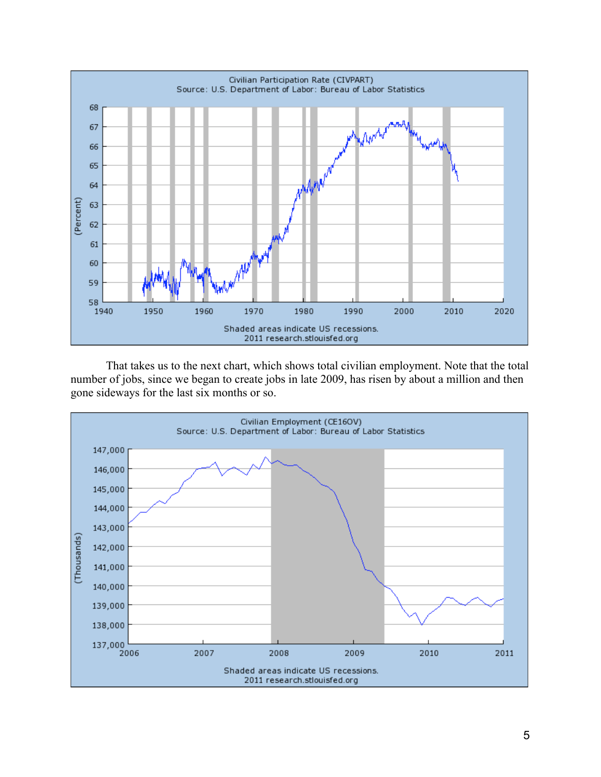

That takes us to the next chart, which shows total civilian employment. Note that the total number of jobs, since we began to create jobs in late 2009, has risen by about a million and then gone sideways for the last six months or so.

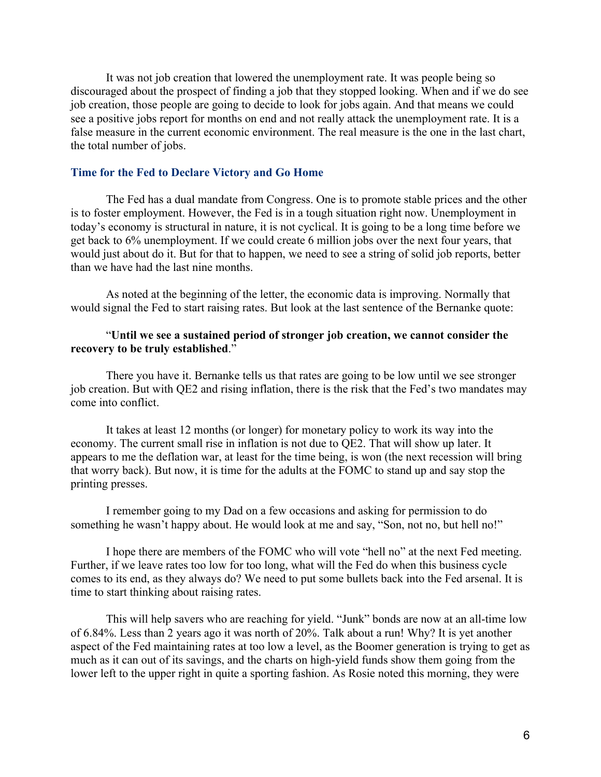It was not job creation that lowered the unemployment rate. It was people being so discouraged about the prospect of finding a job that they stopped looking. When and if we do see job creation, those people are going to decide to look for jobs again. And that means we could see a positive jobs report for months on end and not really attack the unemployment rate. It is a false measure in the current economic environment. The real measure is the one in the last chart, the total number of jobs.

## Time for the Fed to Declare Victory and Go Home

The Fed has a dual mandate from Congress. One is to promote stable prices and the other is to foster employment. However, the Fed is in a tough situation right now. Unemployment in today's economy is structural in nature, it is not cyclical. It is going to be a long time before we get back to 6% unemployment. If we could create 6 million jobs over the next four years, that would just about do it. But for that to happen, we need to see a string of solid job reports, better than we have had the last nine months.

As noted at the beginning of the letter, the economic data is improving. Normally that would signal the Fed to start raising rates. But look at the last sentence of the Bernanke quote:

## "Until we see a sustained period of stronger job creation, we cannot consider the recovery to be truly established."

There you have it. Bernanke tells us that rates are going to be low until we see stronger job creation. But with QE2 and rising inflation, there is the risk that the Fed's two mandates may come into conflict.

It takes at least 12 months (or longer) for monetary policy to work its way into the economy. The current small rise in inflation is not due to QE2. That will show up later. It appears to me the deflation war, at least for the time being, is won (the next recession will bring that worry back). But now, it is time for the adults at the FOMC to stand up and say stop the printing presses.

I remember going to my Dad on a few occasions and asking for permission to do something he wasn't happy about. He would look at me and say, "Son, not no, but hell no!"

I hope there are members of the FOMC who will vote "hell no" at the next Fed meeting. Further, if we leave rates too low for too long, what will the Fed do when this business cycle comes to its end, as they always do? We need to put some bullets back into the Fed arsenal. It is time to start thinking about raising rates.

This will help savers who are reaching for yield. "Junk" bonds are now at an all-time low of 6.84%. Less than 2 years ago it was north of 20%. Talk about a run! Why? It is yet another aspect of the Fed maintaining rates at too low a level, as the Boomer generation is trying to get as much as it can out of its savings, and the charts on high-yield funds show them going from the lower left to the upper right in quite a sporting fashion. As Rosie noted this morning, they were